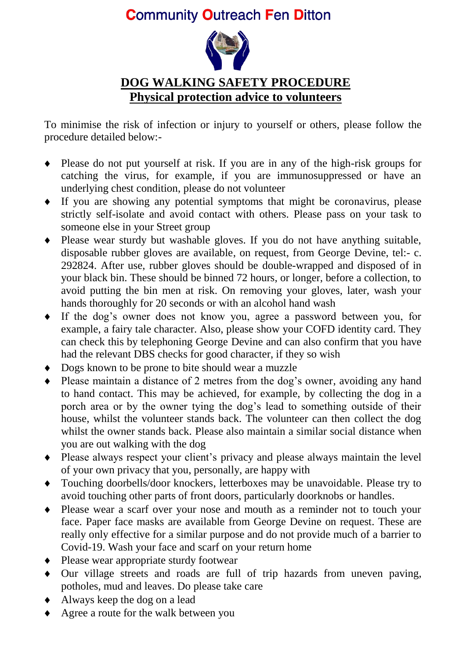## **Community Outreach Fen Ditton**



## **DOG WALKING SAFETY PROCEDURE Physical protection advice to volunteers**

To minimise the risk of infection or injury to yourself or others, please follow the procedure detailed below:-

- Please do not put yourself at risk. If you are in any of the high-risk groups for catching the virus, for example, if you are immunosuppressed or have an underlying chest condition, please do not volunteer
- If you are showing any potential symptoms that might be coronavirus, please strictly self-isolate and avoid contact with others. Please pass on your task to someone else in your Street group
- Please wear sturdy but washable gloves. If you do not have anything suitable, disposable rubber gloves are available, on request, from George Devine, <tel:-> c. 292824. After use, rubber gloves should be double-wrapped and disposed of in your black bin. These should be binned 72 hours, or longer, before a collection, to avoid putting the bin men at risk. On removing your gloves, later, wash your hands thoroughly for 20 seconds or with an alcohol hand wash
- If the dog's owner does not know you, agree a password between you, for example, a fairy tale character. Also, please show your COFD identity card. They can check this by telephoning George Devine and can also confirm that you have had the relevant DBS checks for good character, if they so wish
- Dogs known to be prone to bite should wear a muzzle
- Please maintain a distance of 2 metres from the dog's owner, avoiding any hand to hand contact. This may be achieved, for example, by collecting the dog in a porch area or by the owner tying the dog's lead to something outside of their house, whilst the volunteer stands back. The volunteer can then collect the dog whilst the owner stands back. Please also maintain a similar social distance when you are out walking with the dog
- Please always respect your client's privacy and please always maintain the level of your own privacy that you, personally, are happy with
- Touching doorbells/door knockers, letterboxes may be unavoidable. Please try to avoid touching other parts of front doors, particularly doorknobs or handles.
- Please wear a scarf over your nose and mouth as a reminder not to touch your face. Paper face masks are available from George Devine on request. These are really only effective for a similar purpose and do not provide much of a barrier to Covid-19. Wash your face and scarf on your return home
- Please wear appropriate sturdy footwear
- Our village streets and roads are full of trip hazards from uneven paving, potholes, mud and leaves. Do please take care
- Always keep the dog on a lead
- ◆ Agree a route for the walk between you